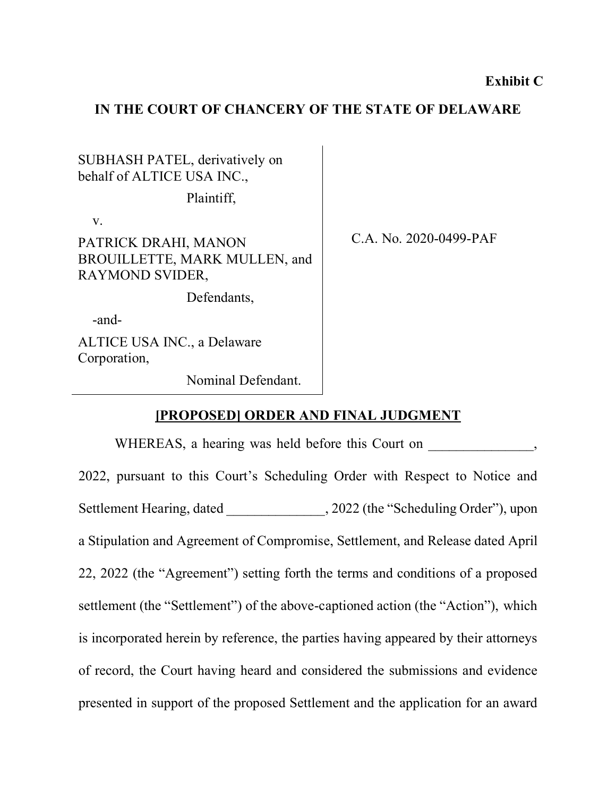## **IN THE COURT OF CHANCERY OF THE STATE OF DELAWARE**

SUBHASH PATEL, derivatively on behalf of ALTICE USA INC.,

Plaintiff,

v.

PATRICK DRAHI, MANON BROUILLETTE, MARK MULLEN, and RAYMOND SVIDER,

Defendants,

-and-

ALTICE USA INC., a Delaware Corporation,

Nominal Defendant.

C.A. No. 2020-0499-PAF

## **[PROPOSED] ORDER AND FINAL JUDGMENT**

WHEREAS, a hearing was held before this Court on  $\,$ , 2022, pursuant to this Court's Scheduling Order with Respect to Notice and Settlement Hearing, dated  $, 2022$  (the "Scheduling Order"), upon a Stipulation and Agreement of Compromise, Settlement, and Release dated April 22, 2022 (the "Agreement") setting forth the terms and conditions of a proposed settlement (the "Settlement") of the above-captioned action (the "Action"), which is incorporated herein by reference, the parties having appeared by their attorneys of record, the Court having heard and considered the submissions and evidence presented in support of the proposed Settlement and the application for an award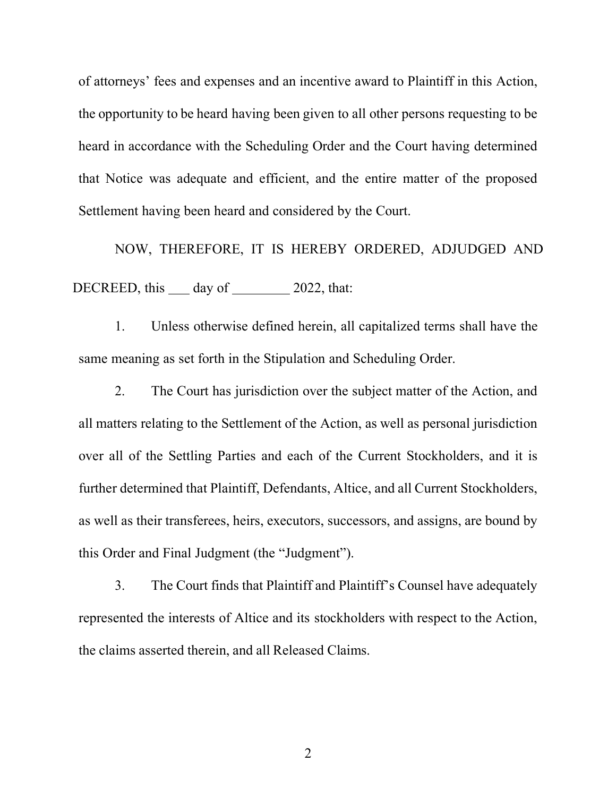of attorneys' fees and expenses and an incentive award to Plaintiff in this Action, the opportunity to be heard having been given to all other persons requesting to be heard in accordance with the Scheduling Order and the Court having determined that Notice was adequate and efficient, and the entire matter of the proposed Settlement having been heard and considered by the Court.

NOW, THEREFORE, IT IS HEREBY ORDERED, ADJUDGED AND DECREED, this day of 2022, that:

1. Unless otherwise defined herein, all capitalized terms shall have the same meaning as set forth in the Stipulation and Scheduling Order.

2. The Court has jurisdiction over the subject matter of the Action, and all matters relating to the Settlement of the Action, as well as personal jurisdiction over all of the Settling Parties and each of the Current Stockholders, and it is further determined that Plaintiff, Defendants, Altice, and all Current Stockholders, as well as their transferees, heirs, executors, successors, and assigns, are bound by this Order and Final Judgment (the "Judgment").

3. The Court finds that Plaintiff and Plaintiff's Counsel have adequately represented the interests of Altice and its stockholders with respect to the Action, the claims asserted therein, and all Released Claims.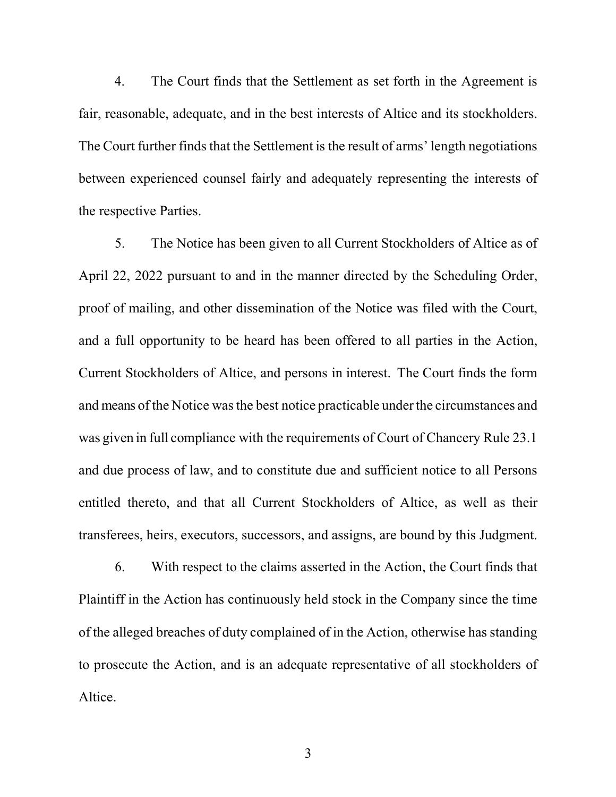4. The Court finds that the Settlement as set forth in the Agreement is fair, reasonable, adequate, and in the best interests of Altice and its stockholders. The Court further finds that the Settlement is the result of arms' length negotiations between experienced counsel fairly and adequately representing the interests of the respective Parties.

5. The Notice has been given to all Current Stockholders of Altice as of April 22, 2022 pursuant to and in the manner directed by the Scheduling Order, proof of mailing, and other dissemination of the Notice was filed with the Court, and a full opportunity to be heard has been offered to all parties in the Action, Current Stockholders of Altice, and persons in interest. The Court finds the form and means of the Notice was the best notice practicable under the circumstances and was given in full compliance with the requirements of Court of Chancery Rule 23.1 and due process of law, and to constitute due and sufficient notice to all Persons entitled thereto, and that all Current Stockholders of Altice, as well as their transferees, heirs, executors, successors, and assigns, are bound by this Judgment.

6. With respect to the claims asserted in the Action, the Court finds that Plaintiff in the Action has continuously held stock in the Company since the time of the alleged breaches of duty complained of in the Action, otherwise has standing to prosecute the Action, and is an adequate representative of all stockholders of Altice.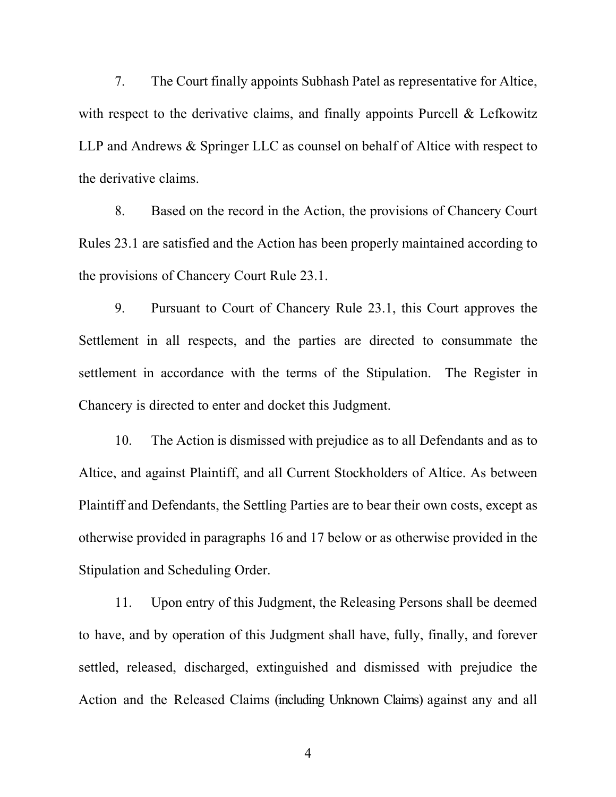7. The Court finally appoints Subhash Patel as representative for Altice, with respect to the derivative claims, and finally appoints Purcell & Lefkowitz LLP and Andrews & Springer LLC as counsel on behalf of Altice with respect to the derivative claims.

8. Based on the record in the Action, the provisions of Chancery Court Rules 23.1 are satisfied and the Action has been properly maintained according to the provisions of Chancery Court Rule 23.1.

9. Pursuant to Court of Chancery Rule 23.1, this Court approves the Settlement in all respects, and the parties are directed to consummate the settlement in accordance with the terms of the Stipulation. The Register in Chancery is directed to enter and docket this Judgment.

10. The Action is dismissed with prejudice as to all Defendants and as to Altice, and against Plaintiff, and all Current Stockholders of Altice. As between Plaintiff and Defendants, the Settling Parties are to bear their own costs, except as otherwise provided in paragraphs 16 and 17 below or as otherwise provided in the Stipulation and Scheduling Order.

11. Upon entry of this Judgment, the Releasing Persons shall be deemed to have, and by operation of this Judgment shall have, fully, finally, and forever settled, released, discharged, extinguished and dismissed with prejudice the Action and the Released Claims (including Unknown Claims) against any and all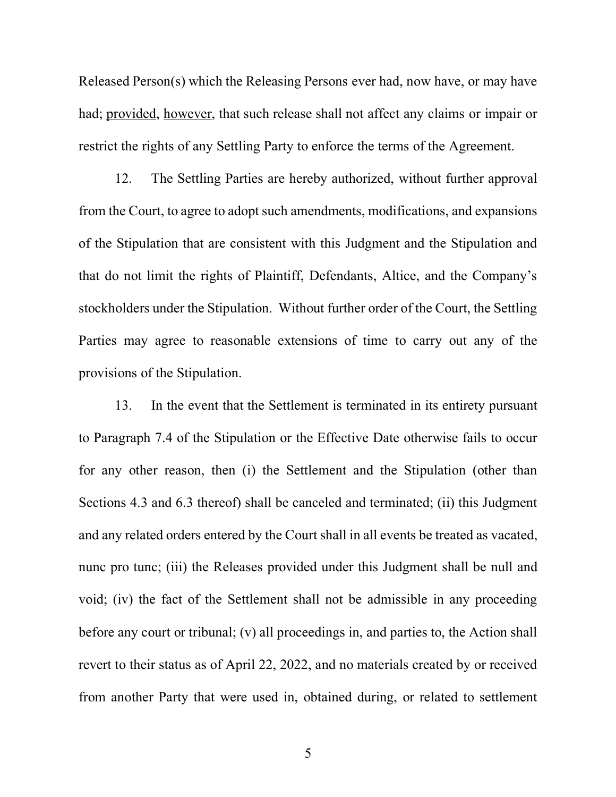Released Person(s) which the Releasing Persons ever had, now have, or may have had; provided, however, that such release shall not affect any claims or impair or restrict the rights of any Settling Party to enforce the terms of the Agreement.

12. The Settling Parties are hereby authorized, without further approval from the Court, to agree to adopt such amendments, modifications, and expansions of the Stipulation that are consistent with this Judgment and the Stipulation and that do not limit the rights of Plaintiff, Defendants, Altice, and the Company's stockholders under the Stipulation. Without further order of the Court, the Settling Parties may agree to reasonable extensions of time to carry out any of the provisions of the Stipulation.

13. In the event that the Settlement is terminated in its entirety pursuant to Paragraph 7.4 of the Stipulation or the Effective Date otherwise fails to occur for any other reason, then (i) the Settlement and the Stipulation (other than Sections 4.3 and 6.3 thereof) shall be canceled and terminated; (ii) this Judgment and any related orders entered by the Court shall in all events be treated as vacated, nunc pro tunc; (iii) the Releases provided under this Judgment shall be null and void; (iv) the fact of the Settlement shall not be admissible in any proceeding before any court or tribunal; (v) all proceedings in, and parties to, the Action shall revert to their status as of April 22, 2022, and no materials created by or received from another Party that were used in, obtained during, or related to settlement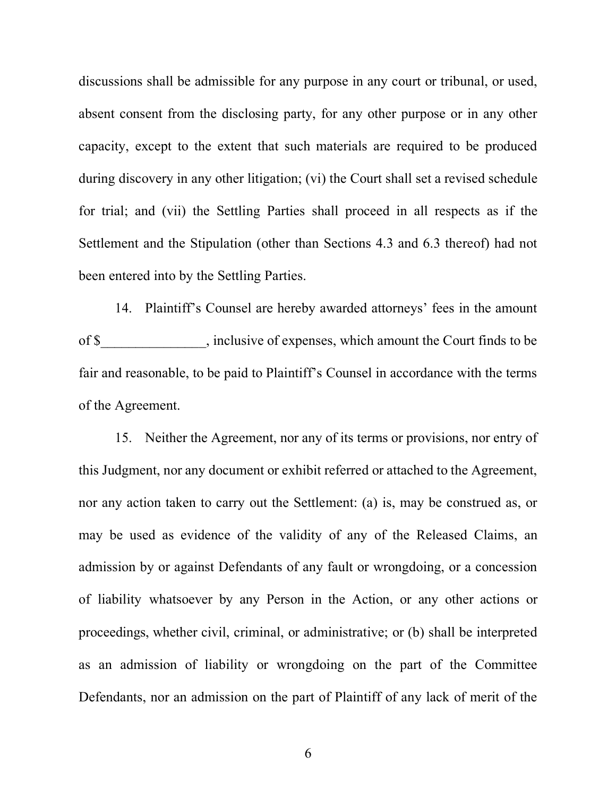discussions shall be admissible for any purpose in any court or tribunal, or used, absent consent from the disclosing party, for any other purpose or in any other capacity, except to the extent that such materials are required to be produced during discovery in any other litigation; (vi) the Court shall set a revised schedule for trial; and (vii) the Settling Parties shall proceed in all respects as if the Settlement and the Stipulation (other than Sections 4.3 and 6.3 thereof) had not been entered into by the Settling Parties.

14. Plaintiff's Counsel are hereby awarded attorneys' fees in the amount of \$\_\_\_\_\_\_\_\_\_\_\_\_\_\_\_, inclusive of expenses, which amount the Court finds to be fair and reasonable, to be paid to Plaintiff's Counsel in accordance with the terms of the Agreement.

15. Neither the Agreement, nor any of its terms or provisions, nor entry of this Judgment, nor any document or exhibit referred or attached to the Agreement, nor any action taken to carry out the Settlement: (a) is, may be construed as, or may be used as evidence of the validity of any of the Released Claims, an admission by or against Defendants of any fault or wrongdoing, or a concession of liability whatsoever by any Person in the Action, or any other actions or proceedings, whether civil, criminal, or administrative; or (b) shall be interpreted as an admission of liability or wrongdoing on the part of the Committee Defendants, nor an admission on the part of Plaintiff of any lack of merit of the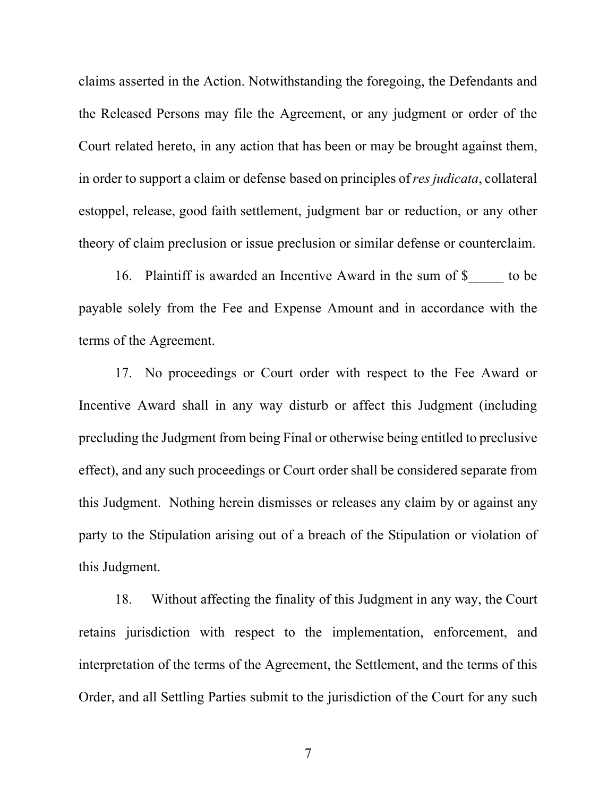claims asserted in the Action. Notwithstanding the foregoing, the Defendants and the Released Persons may file the Agreement, or any judgment or order of the Court related hereto, in any action that has been or may be brought against them, in order to support a claim or defense based on principles of*res judicata*, collateral estoppel, release, good faith settlement, judgment bar or reduction, or any other theory of claim preclusion or issue preclusion or similar defense or counterclaim.

16. Plaintiff is awarded an Incentive Award in the sum of \$ to be payable solely from the Fee and Expense Amount and in accordance with the terms of the Agreement.

17. No proceedings or Court order with respect to the Fee Award or Incentive Award shall in any way disturb or affect this Judgment (including precluding the Judgment from being Final or otherwise being entitled to preclusive effect), and any such proceedings or Court order shall be considered separate from this Judgment. Nothing herein dismisses or releases any claim by or against any party to the Stipulation arising out of a breach of the Stipulation or violation of this Judgment.

18. Without affecting the finality of this Judgment in any way, the Court retains jurisdiction with respect to the implementation, enforcement, and interpretation of the terms of the Agreement, the Settlement, and the terms of this Order, and all Settling Parties submit to the jurisdiction of the Court for any such